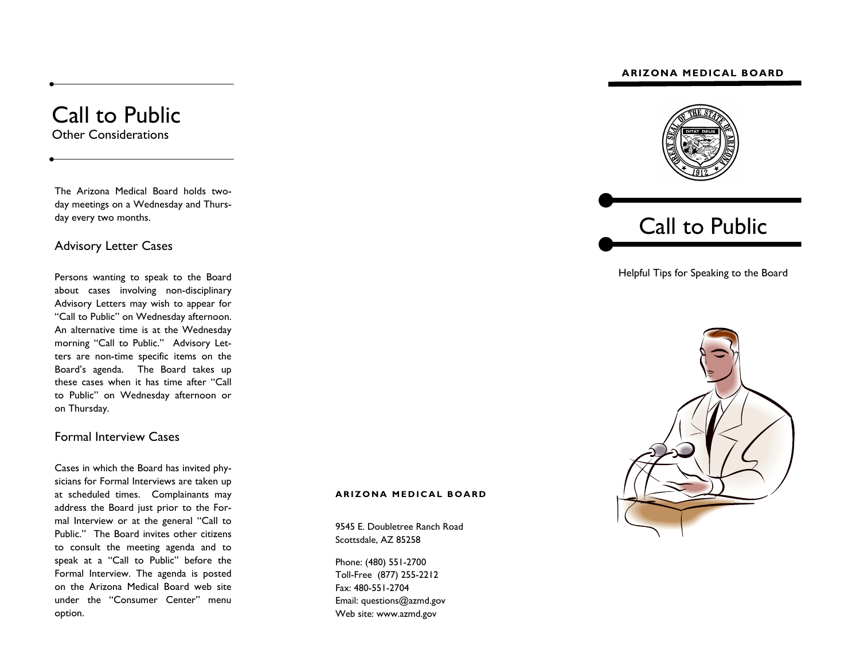#### **ARIZONA MEDICAL BOARD**





Helpful Tips for Speaking to the Board



## Call to Public Other Considerations

The Arizona Medical Board holds twoday meetings on a Wednesday and Thursday every two months.

### Advisory Letter Cases

Persons wanting to speak to the Board about cases involving non-disciplinary Advisory Letters may wish to appear for "Call to Public" on Wednesday afternoon. An alternative time is at the Wednesday morning "Call to Public." Advisory Letters are non-time specific items on the Board's agenda. The Board takes up these cases when it has time after "Call to Public" on Wednesday afternoon or on Thursday.

## Formal Interview Cases

Cases in which the Board has invited physicians for Formal Interviews are taken up at scheduled times. Complainants may address the Board just prior to the Formal Interview or at the general "Call to Public." The Board invites other citizens to consult the meeting agenda and to speak at a "Call to Public" before the Formal Interview. The agenda is posted on the Arizona Medical Board web site under the "Consumer Center" menu option.

#### **ARIZONA MEDICAL BOARD**

9545 E. Doubletree Ranch Road Scottsdale, AZ 85258

Phone: (480) 551-2700 Toll-Free (877) 255-2212 Fax: 480-551-2704 Email: questions@azmd.gov Web site: www.azmd.gov